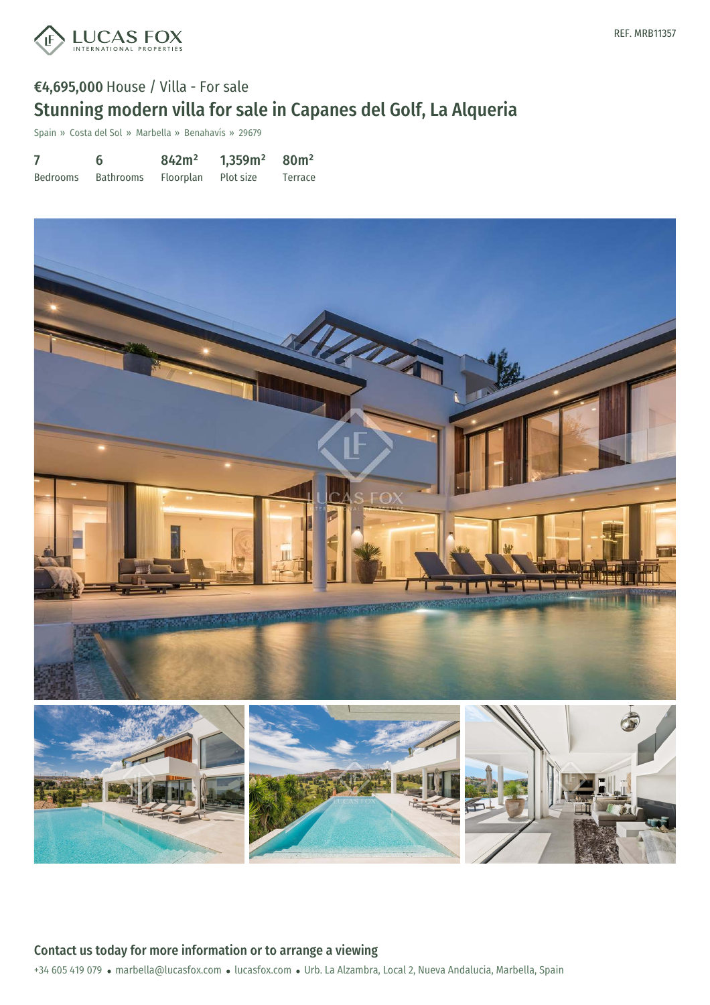

# €4,695,000 House / Villa - For sale Stunning modern villa for sale in Capanes del Golf, La Alqueria

Spain » Costa del Sol » Marbella » Benahavís » 29679

|                 | 6         | 842m <sup>2</sup> | 1,359m <sup>2</sup> | 80 <sup>m²</sup> |
|-----------------|-----------|-------------------|---------------------|------------------|
| <b>Bedrooms</b> | Bathrooms | Floorplan         | Plot size           | Terrace          |



+34 605 419 079 · marbella@lucasfox.com · lucasfox.com · Urb. La Alzambra, Local 2, Nueva Andalucia, Marbella, Spain Contact us today for more information or to arrange a viewing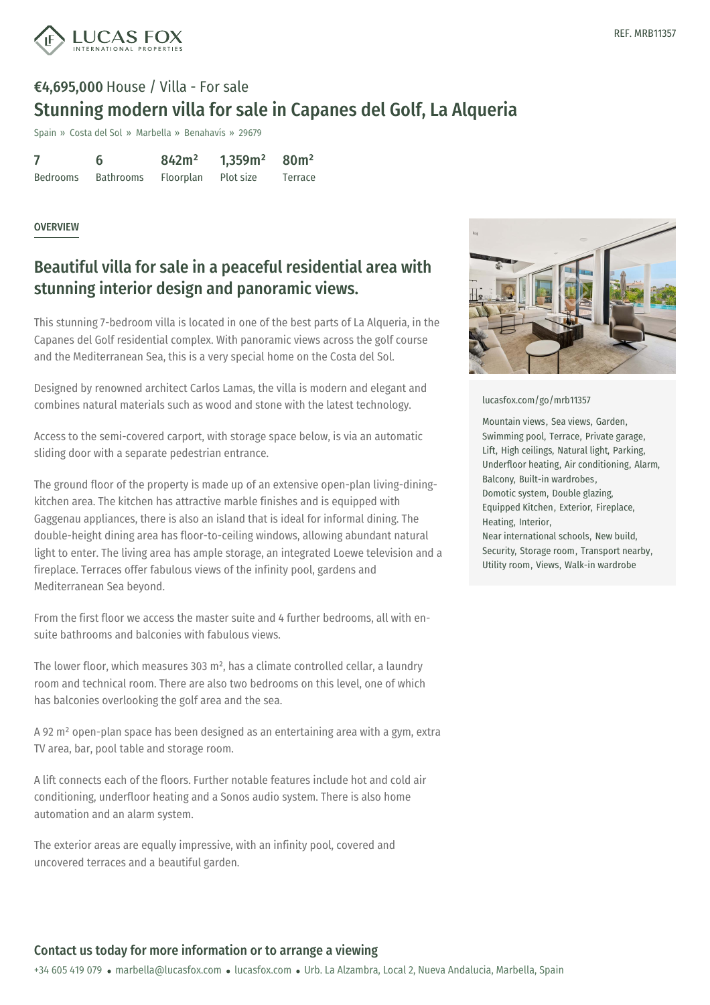

## €4,695,000 House / Villa - For sale Stunning modern villa for sale in Capanes del Golf, La Alqueria

Spain » Costa del Sol » Marbella » Benahavís » 29679

|                 | 6         | 842m <sup>2</sup> | 1,359m <sup>2</sup> | 80 <sup>m²</sup> |
|-----------------|-----------|-------------------|---------------------|------------------|
| <b>Bedrooms</b> | Bathrooms | Floorplan         | Plot size           | Terrace          |

#### **OVERVIEW**

### Beautiful villa for sale in a peaceful residential area with stunning interior design and panoramic views.

This stunning 7-bedroom villa is located in one of the best parts of La Alqueria, in the Capanes del Golf residential complex. With panoramic views across the golf course and the Mediterranean Sea, this is a very special home on the Costa del Sol.

Designed by renowned architect Carlos Lamas, the villa is modern and elegant and combines natural materials such as wood and stone with the latest technology.

Access to the semi-covered carport, with storage space below, is via an automatic sliding door with a separate pedestrian entrance.

The ground floor of the property is made up of an extensive open-plan living-diningkitchen area. The kitchen has attractive marble finishes and is equipped with Gaggenau appliances, there is also an island that is ideal for informal dining. The double-height dining area has floor-to-ceiling windows, allowing abundant natural light to enter. The living area has ample storage, an integrated Loewe television and a fireplace. Terraces offer fabulous views of the infinity pool, gardens and Mediterranean Sea beyond.

From the first floor we access the master suite and 4 further bedrooms, all with ensuite bathrooms and balconies with fabulous views.

The lower floor, which measures 303 m², has a climate controlled cellar, a laundry room and technical room. There are also two bedrooms on this level, one of which has balconies overlooking the golf area and the sea.

A 92 m² open-plan space has been designed as an entertaining area with a gym, extra TV area, bar, pool table and [storage](mailto:marbella@lucasfox.com) room.

A lift connects each of the floors. Further notable features include hot and cold air conditioning, underfloor heating and a Sonos audio system. There is also home automation and an alarm system.

The exterior areas are equally impressive, with an infinity pool, covered and uncovered terraces and a beautiful garden.



#### [lucasfox.com/go/mrb11357](https://www.lucasfox.com/go/mrb11357)

Mountain views, Sea views, Garden, Swimming pool, Terrace, Private garage, Lift, High ceilings, Natural light, Parking, Underfloor heating, Air conditioning, Alarm, Balcony, Built-in wardrobes, Domotic system, Double glazing, Equipped Kitchen, Exterior, Fireplace, Heating, Interior, Near international schools, New build,

Security, Storage room, Transport nearby, Utility room, Views, Walk-in wardrobe

### Contact us today for more information or to arrange a viewing